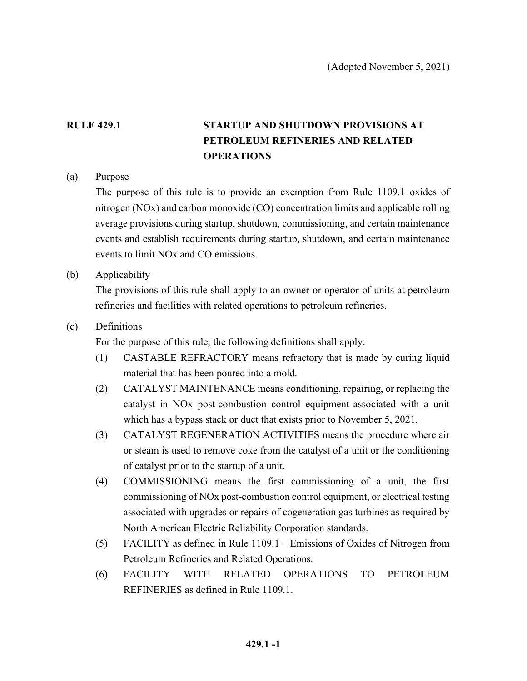# **RULE 429.1 STARTUP AND SHUTDOWN PROVISIONS AT PETROLEUM REFINERIES AND RELATED OPERATIONS**

### (a) Purpose

The purpose of this rule is to provide an exemption from Rule 1109.1 oxides of nitrogen (NOx) and carbon monoxide (CO) concentration limits and applicable rolling average provisions during startup, shutdown, commissioning, and certain maintenance events and establish requirements during startup, shutdown, and certain maintenance events to limit NOx and CO emissions.

(b) Applicability

The provisions of this rule shall apply to an owner or operator of units at petroleum refineries and facilities with related operations to petroleum refineries.

#### (c) Definitions

For the purpose of this rule, the following definitions shall apply:

- (1) CASTABLE REFRACTORY means refractory that is made by curing liquid material that has been poured into a mold.
- (2) CATALYST MAINTENANCE means conditioning, repairing, or replacing the catalyst in NOx post-combustion control equipment associated with a unit which has a bypass stack or duct that exists prior to November 5, 2021.
- (3) CATALYST REGENERATION ACTIVITIES means the procedure where air or steam is used to remove coke from the catalyst of a unit or the conditioning of catalyst prior to the startup of a unit.
- (4) COMMISSIONING means the first commissioning of a unit, the first commissioning of NOx post-combustion control equipment, or electrical testing associated with upgrades or repairs of cogeneration gas turbines as required by North American Electric Reliability Corporation standards.
- (5) FACILITY as defined in Rule 1109.1 Emissions of Oxides of Nitrogen from Petroleum Refineries and Related Operations.
- (6) FACILITY WITH RELATED OPERATIONS TO PETROLEUM REFINERIES as defined in Rule 1109.1.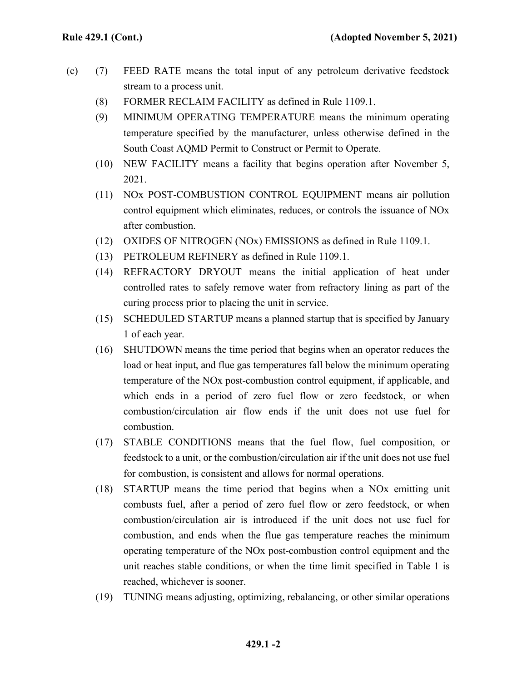- (c) (7) FEED RATE means the total input of any petroleum derivative feedstock stream to a process unit.
	- (8) FORMER RECLAIM FACILITY as defined in Rule 1109.1.
	- (9) MINIMUM OPERATING TEMPERATURE means the minimum operating temperature specified by the manufacturer, unless otherwise defined in the South Coast AQMD Permit to Construct or Permit to Operate.
	- (10) NEW FACILITY means a facility that begins operation after November 5, 2021.
	- (11) NOx POST-COMBUSTION CONTROL EQUIPMENT means air pollution control equipment which eliminates, reduces, or controls the issuance of NOx after combustion.
	- (12) OXIDES OF NITROGEN (NOx) EMISSIONS as defined in Rule 1109.1.
	- (13) PETROLEUM REFINERY as defined in Rule 1109.1.
	- (14) REFRACTORY DRYOUT means the initial application of heat under controlled rates to safely remove water from refractory lining as part of the curing process prior to placing the unit in service.
	- (15) SCHEDULED STARTUP means a planned startup that is specified by January 1 of each year.
	- (16) SHUTDOWN means the time period that begins when an operator reduces the load or heat input, and flue gas temperatures fall below the minimum operating temperature of the NOx post-combustion control equipment, if applicable, and which ends in a period of zero fuel flow or zero feedstock, or when combustion/circulation air flow ends if the unit does not use fuel for combustion.
	- (17) STABLE CONDITIONS means that the fuel flow, fuel composition, or feedstock to a unit, or the combustion/circulation air if the unit does not use fuel for combustion, is consistent and allows for normal operations.
	- (18) STARTUP means the time period that begins when a NOx emitting unit combusts fuel, after a period of zero fuel flow or zero feedstock, or when combustion/circulation air is introduced if the unit does not use fuel for combustion, and ends when the flue gas temperature reaches the minimum operating temperature of the NOx post-combustion control equipment and the unit reaches stable conditions, or when the time limit specified in Table 1 is reached, whichever is sooner.
	- (19) TUNING means adjusting, optimizing, rebalancing, or other similar operations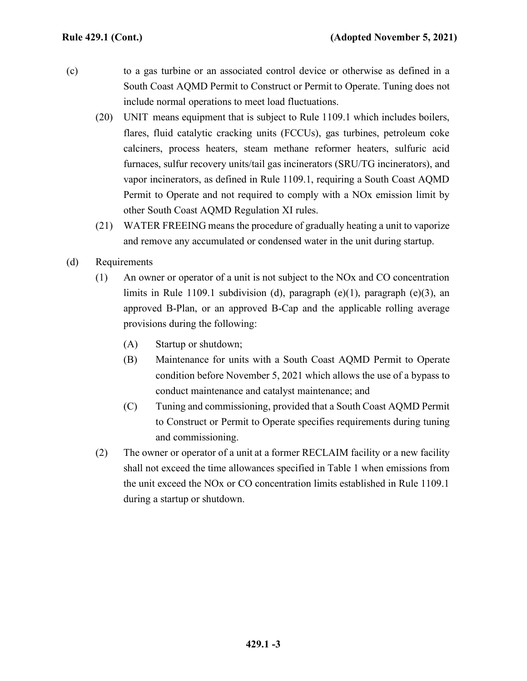- (c) to a gas turbine or an associated control device or otherwise as defined in a South Coast AQMD Permit to Construct or Permit to Operate. Tuning does not include normal operations to meet load fluctuations.
	- (20) UNIT means equipment that is subject to Rule 1109.1 which includes boilers, flares, fluid catalytic cracking units (FCCUs), gas turbines, petroleum coke calciners, process heaters, steam methane reformer heaters, sulfuric acid furnaces, sulfur recovery units/tail gas incinerators (SRU/TG incinerators), and vapor incinerators, as defined in Rule 1109.1, requiring a South Coast AQMD Permit to Operate and not required to comply with a NOx emission limit by other South Coast AQMD Regulation XI rules.
	- (21) WATER FREEING means the procedure of gradually heating a unit to vaporize and remove any accumulated or condensed water in the unit during startup.
- (d) Requirements
	- (1) An owner or operator of a unit is not subject to the NOx and CO concentration limits in Rule 1109.1 subdivision (d), paragraph (e)(1), paragraph (e)(3), an approved B-Plan, or an approved B-Cap and the applicable rolling average provisions during the following:
		- (A) Startup or shutdown;
		- (B) Maintenance for units with a South Coast AQMD Permit to Operate condition before November 5, 2021 which allows the use of a bypass to conduct maintenance and catalyst maintenance; and
		- (C) Tuning and commissioning, provided that a South Coast AQMD Permit to Construct or Permit to Operate specifies requirements during tuning and commissioning.
	- (2) The owner or operator of a unit at a former RECLAIM facility or a new facility shall not exceed the time allowances specified in Table 1 when emissions from the unit exceed the NOx or CO concentration limits established in Rule 1109.1 during a startup or shutdown.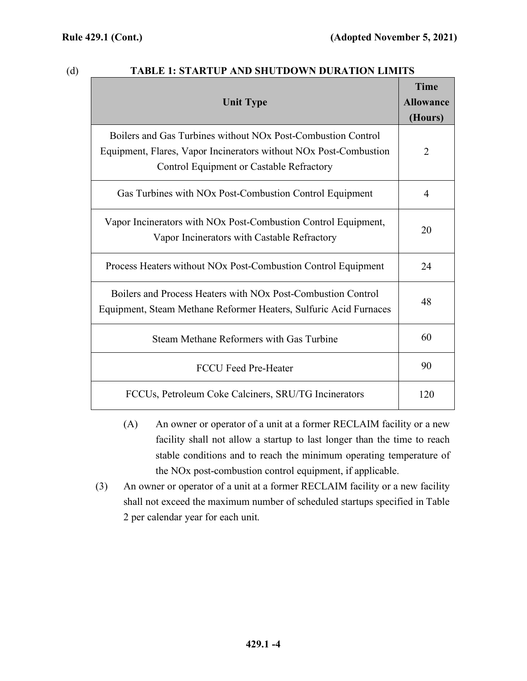## (d) **TABLE 1: STARTUP AND SHUTDOWN DURATION LIMITS**

| <b>Unit Type</b>                                                                                                                                                                          | <b>Time</b><br><b>Allowance</b><br>(Hours) |
|-------------------------------------------------------------------------------------------------------------------------------------------------------------------------------------------|--------------------------------------------|
| Boilers and Gas Turbines without NO <sub>x</sub> Post-Combustion Control<br>Equipment, Flares, Vapor Incinerators without NOx Post-Combustion<br>Control Equipment or Castable Refractory | 2                                          |
| Gas Turbines with NO <sub>x</sub> Post-Combustion Control Equipment                                                                                                                       | 4                                          |
| Vapor Incinerators with NOx Post-Combustion Control Equipment,<br>Vapor Incinerators with Castable Refractory                                                                             | 20                                         |
| Process Heaters without NO <sub>x</sub> Post-Combustion Control Equipment                                                                                                                 | 24                                         |
| Boilers and Process Heaters with NO <sub>x</sub> Post-Combustion Control<br>Equipment, Steam Methane Reformer Heaters, Sulfuric Acid Furnaces                                             | 48                                         |
| Steam Methane Reformers with Gas Turbine                                                                                                                                                  | 60                                         |
| <b>FCCU Feed Pre-Heater</b>                                                                                                                                                               | 90                                         |
| FCCUs, Petroleum Coke Calciners, SRU/TG Incinerators                                                                                                                                      | 120                                        |

- (A) An owner or operator of a unit at a former RECLAIM facility or a new facility shall not allow a startup to last longer than the time to reach stable conditions and to reach the minimum operating temperature of the NOx post-combustion control equipment, if applicable.
- (3) An owner or operator of a unit at a former RECLAIM facility or a new facility shall not exceed the maximum number of scheduled startups specified in Table 2 per calendar year for each unit.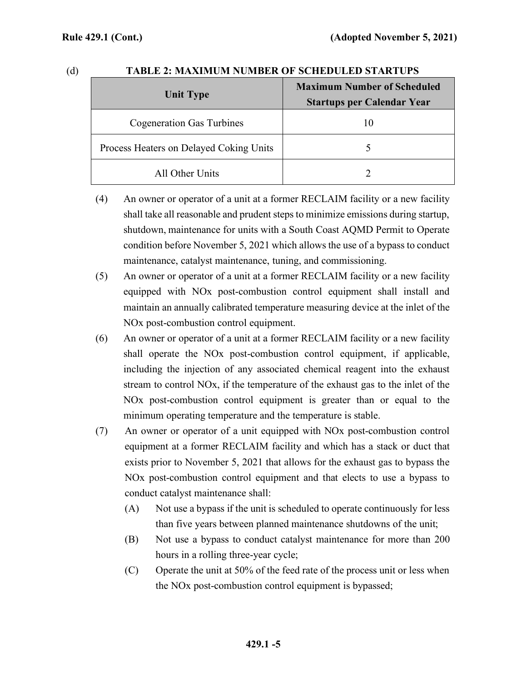| ۰. |  |
|----|--|

### **TABLE 2: MAXIMUM NUMBER OF SCHEDULED STARTUPS**

| <b>Unit Type</b>                        | <b>Maximum Number of Scheduled</b><br><b>Startups per Calendar Year</b> |
|-----------------------------------------|-------------------------------------------------------------------------|
| <b>Cogeneration Gas Turbines</b>        | 10                                                                      |
| Process Heaters on Delayed Coking Units |                                                                         |
| All Other Units                         |                                                                         |

- (4) An owner or operator of a unit at a former RECLAIM facility or a new facility shall take all reasonable and prudent steps to minimize emissions during startup, shutdown, maintenance for units with a South Coast AQMD Permit to Operate condition before November 5, 2021 which allows the use of a bypass to conduct maintenance, catalyst maintenance, tuning, and commissioning.
- (5) An owner or operator of a unit at a former RECLAIM facility or a new facility equipped with NOx post-combustion control equipment shall install and maintain an annually calibrated temperature measuring device at the inlet of the NOx post-combustion control equipment.
- (6) An owner or operator of a unit at a former RECLAIM facility or a new facility shall operate the NOx post-combustion control equipment, if applicable, including the injection of any associated chemical reagent into the exhaust stream to control NOx, if the temperature of the exhaust gas to the inlet of the NOx post-combustion control equipment is greater than or equal to the minimum operating temperature and the temperature is stable.
- (7) An owner or operator of a unit equipped with NOx post-combustion control equipment at a former RECLAIM facility and which has a stack or duct that exists prior to November 5, 2021 that allows for the exhaust gas to bypass the NOx post-combustion control equipment and that elects to use a bypass to conduct catalyst maintenance shall:
	- (A) Not use a bypass if the unit is scheduled to operate continuously for less than five years between planned maintenance shutdowns of the unit;
	- (B) Not use a bypass to conduct catalyst maintenance for more than 200 hours in a rolling three-year cycle;
	- (C) Operate the unit at 50% of the feed rate of the process unit or less when the NOx post-combustion control equipment is bypassed;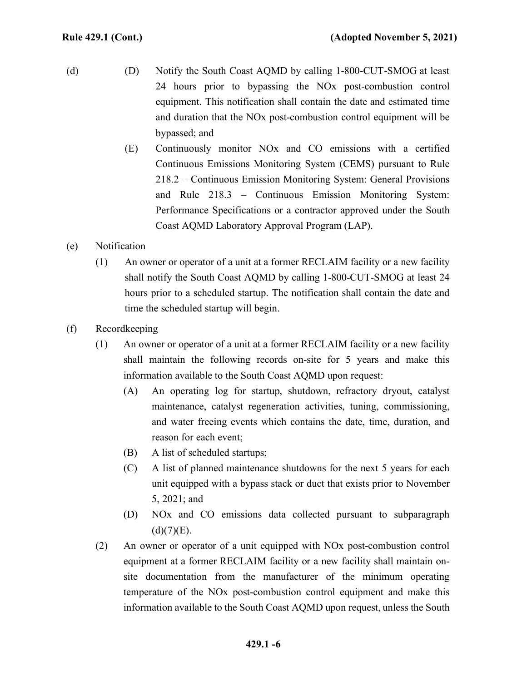- (d) (D) Notify the South Coast AQMD by calling 1-800-CUT-SMOG at least 24 hours prior to bypassing the NOx post-combustion control equipment. This notification shall contain the date and estimated time and duration that the NOx post-combustion control equipment will be bypassed; and
	- (E) Continuously monitor NOx and CO emissions with a certified Continuous Emissions Monitoring System (CEMS) pursuant to Rule 218.2 – Continuous Emission Monitoring System: General Provisions and Rule 218.3 – Continuous Emission Monitoring System: Performance Specifications or a contractor approved under the South Coast AQMD Laboratory Approval Program (LAP).
- (e) Notification
	- (1) An owner or operator of a unit at a former RECLAIM facility or a new facility shall notify the South Coast AQMD by calling 1-800-CUT-SMOG at least 24 hours prior to a scheduled startup. The notification shall contain the date and time the scheduled startup will begin.
- (f) Recordkeeping
	- (1) An owner or operator of a unit at a former RECLAIM facility or a new facility shall maintain the following records on-site for 5 years and make this information available to the South Coast AQMD upon request:
		- (A) An operating log for startup, shutdown, refractory dryout, catalyst maintenance, catalyst regeneration activities, tuning, commissioning, and water freeing events which contains the date, time, duration, and reason for each event;
		- (B) A list of scheduled startups;
		- (C) A list of planned maintenance shutdowns for the next 5 years for each unit equipped with a bypass stack or duct that exists prior to November 5, 2021; and
		- (D) NOx and CO emissions data collected pursuant to subparagraph  $(d)(7)(E)$ .
	- (2) An owner or operator of a unit equipped with NOx post-combustion control equipment at a former RECLAIM facility or a new facility shall maintain onsite documentation from the manufacturer of the minimum operating temperature of the NOx post-combustion control equipment and make this information available to the South Coast AQMD upon request, unless the South